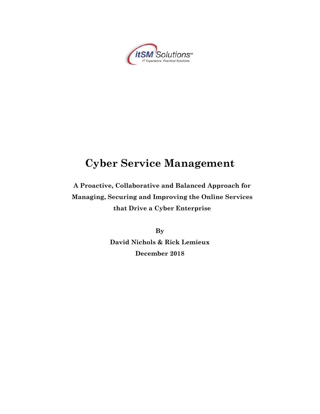

## **A Proactive, Collaborative and Balanced Approach for Managing, Securing and Improving the Online Services that Drive a Cyber Enterprise**

**By David Nichols & Rick Lemieux December 2018**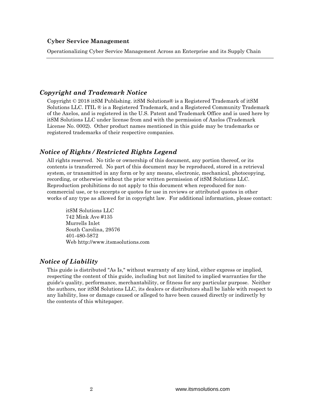Operationalizing Cyber Service Management Across an Enterprise and its Supply Chain

### *Copyright and Trademark Notice*

Copyright © 2018 itSM Publishing. itSM Solutions® is a Registered Trademark of itSM Solutions LLC. ITIL ® is a Registered Trademark, and a Registered Community Trademark of the Axelos, and is registered in the U.S. Patent and Trademark Office and is used here by itSM Solutions LLC under license from and with the permission of Axelos (Trademark License No. 0002). Other product names mentioned in this guide may be trademarks or registered trademarks of their respective companies.

#### *Notice of Rights / Restricted Rights Legend*

All rights reserved. No title or ownership of this document, any portion thereof, or its contents is transferred. No part of this document may be reproduced, stored in a retrieval system, or transmitted in any form or by any means, electronic, mechanical, photocopying, recording, or otherwise without the prior written permission of itSM Solutions LLC. Reproduction prohibitions do not apply to this document when reproduced for noncommercial use, or to excerpts or quotes for use in reviews or attributed quotes in other works of any type as allowed for in copyright law. For additional information, please contact:

itSM Solutions LLC 742 Mink Ave #135 Murrells Inlet South Carolina, 29576 401-480-5872 Web http://www.itsmsolutions.com

#### *Notice of Liability*

This guide is distributed "As Is," without warranty of any kind, either express or implied, respecting the content of this guide, including but not limited to implied warranties for the guide's quality, performance, merchantability, or fitness for any particular purpose. Neither the authors, nor itSM Solutions LLC, its dealers or distributors shall be liable with respect to any liability, loss or damage caused or alleged to have been caused directly or indirectly by the contents of this whitepaper.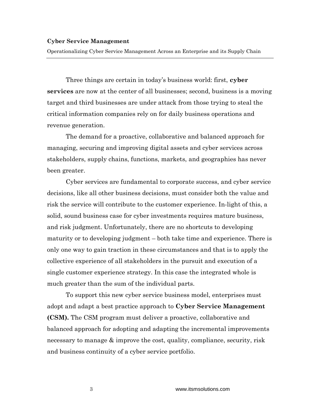Operationalizing Cyber Service Management Across an Enterprise and its Supply Chain

Three things are certain in today's business world: first, **cyber services** are now at the center of all businesses; second, business is a moving target and third businesses are under attack from those trying to steal the critical information companies rely on for daily business operations and revenue generation.

The demand for a proactive, collaborative and balanced approach for managing, securing and improving digital assets and cyber services across stakeholders, supply chains, functions, markets, and geographies has never been greater.

Cyber services are fundamental to corporate success, and cyber service decisions, like all other business decisions, must consider both the value and risk the service will contribute to the customer experience. In-light of this, a solid, sound business case for cyber investments requires mature business, and risk judgment. Unfortunately, there are no shortcuts to developing maturity or to developing judgment – both take time and experience. There is only one way to gain traction in these circumstances and that is to apply the collective experience of all stakeholders in the pursuit and execution of a single customer experience strategy. In this case the integrated whole is much greater than the sum of the individual parts.

To support this new cyber service business model, enterprises must adopt and adapt a best practice approach to **Cyber Service Management (CSM).** The CSM program must deliver a proactive, collaborative and balanced approach for adopting and adapting the incremental improvements necessary to manage & improve the cost, quality, compliance, security, risk and business continuity of a cyber service portfolio.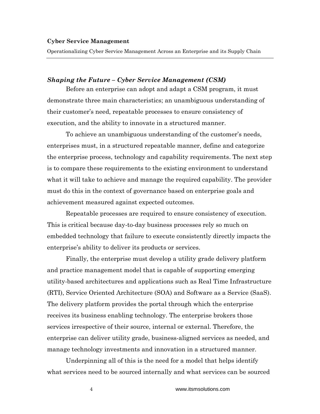Operationalizing Cyber Service Management Across an Enterprise and its Supply Chain

#### *Shaping the Future – Cyber Service Management (CSM)*

Before an enterprise can adopt and adapt a CSM program, it must demonstrate three main characteristics; an unambiguous understanding of their customer's need, repeatable processes to ensure consistency of execution, and the ability to innovate in a structured manner.

To achieve an unambiguous understanding of the customer's needs, enterprises must, in a structured repeatable manner, define and categorize the enterprise process, technology and capability requirements. The next step is to compare these requirements to the existing environment to understand what it will take to achieve and manage the required capability. The provider must do this in the context of governance based on enterprise goals and achievement measured against expected outcomes.

Repeatable processes are required to ensure consistency of execution. This is critical because day-to-day business processes rely so much on embedded technology that failure to execute consistently directly impacts the enterprise's ability to deliver its products or services.

Finally, the enterprise must develop a utility grade delivery platform and practice management model that is capable of supporting emerging utility-based architectures and applications such as Real Time Infrastructure (RTI), Service Oriented Architecture (SOA) and Software as a Service (SaaS). The delivery platform provides the portal through which the enterprise receives its business enabling technology. The enterprise brokers those services irrespective of their source, internal or external. Therefore, the enterprise can deliver utility grade, business-aligned services as needed, and manage technology investments and innovation in a structured manner.

Underpinning all of this is the need for a model that helps identify what services need to be sourced internally and what services can be sourced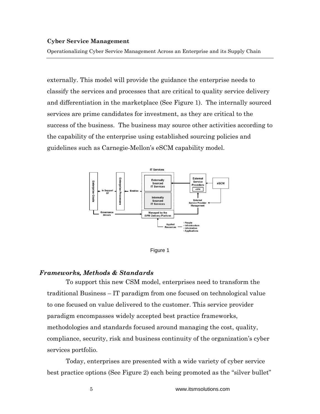Operationalizing Cyber Service Management Across an Enterprise and its Supply Chain

externally. This model will provide the guidance the enterprise needs to classify the services and processes that are critical to quality service delivery and differentiation in the marketplace (See Figure 1). The internally sourced services are prime candidates for investment, as they are critical to the success of the business. The business may source other activities according to the capability of the enterprise using established sourcing policies and guidelines such as Carnegie-Mellon's eSCM capability model.





#### *Frameworks, Methods & Standards*

To support this new CSM model, enterprises need to transform the traditional Business – IT paradigm from one focused on technological value to one focused on value delivered to the customer. This service provider paradigm encompasses widely accepted best practice frameworks, methodologies and standards focused around managing the cost, quality, compliance, security, risk and business continuity of the organization's cyber services portfolio.

Today, enterprises are presented with a wide variety of cyber service best practice options (See Figure 2) each being promoted as the "silver bullet"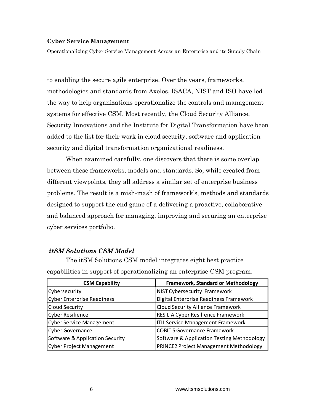Operationalizing Cyber Service Management Across an Enterprise and its Supply Chain

to enabling the secure agile enterprise. Over the years, frameworks, methodologies and standards from Axelos, ISACA, NIST and ISO have led the way to help organizations operationalize the controls and management systems for effective CSM. Most recently, the Cloud Security Alliance, Security Innovations and the Institute for Digital Transformation have been added to the list for their work in cloud security, software and application security and digital transformation organizational readiness.

When examined carefully, one discovers that there is some overlap between these frameworks, models and standards. So, while created from different viewpoints, they all address a similar set of enterprise business problems. The result is a mish-mash of framework's, methods and standards designed to support the end game of a delivering a proactive, collaborative and balanced approach for managing, improving and securing an enterprise cyber services portfolio.

### *itSM Solutions CSM Model*

The itSM Solutions CSM model integrates eight best practice capabilities in support of operationalizing an enterprise CSM program.

| <b>CSM Capability</b>           | <b>Framework, Standard or Methodology</b>     |
|---------------------------------|-----------------------------------------------|
| Cybersecurity                   | <b>NIST Cybersecurity Framework</b>           |
| Cyber Enterprise Readiness      | Digital Enterprise Readiness Framework        |
| <b>Cloud Security</b>           | <b>Cloud Security Alliance Framework</b>      |
| Cyber Resilience                | <b>RESILIA Cyber Resilience Framework</b>     |
| <b>Cyber Service Management</b> | <b>ITIL Service Management Framework</b>      |
| Cyber Governance                | <b>COBIT 5 Governance Framework</b>           |
| Software & Application Security | Software & Application Testing Methodology    |
| <b>Cyber Project Management</b> | <b>PRINCE2 Project Management Methodology</b> |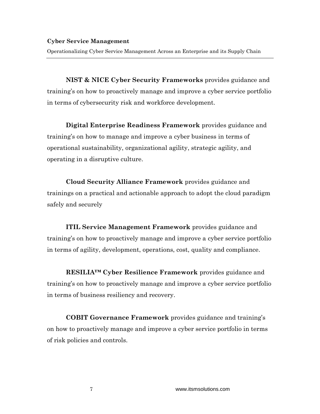Operationalizing Cyber Service Management Across an Enterprise and its Supply Chain

**NIST & NICE Cyber Security Frameworks** provides guidance and training's on how to proactively manage and improve a cyber service portfolio in terms of cybersecurity risk and workforce development.

**Digital Enterprise Readiness Framework** provides guidance and training's on how to manage and improve a cyber business in terms of operational sustainability, organizational agility, strategic agility, and operating in a disruptive culture.

**Cloud Security Alliance Framework** provides guidance and trainings on a practical and actionable approach to adopt the cloud paradigm safely and securely

**ITIL Service Management Framework** provides guidance and training's on how to proactively manage and improve a cyber service portfolio in terms of agility, development, operations, cost, quality and compliance.

**RESILIA™ Cyber Resilience Framework** provides guidance and training's on how to proactively manage and improve a cyber service portfolio in terms of business resiliency and recovery.

**COBIT Governance Framework** provides guidance and training's on how to proactively manage and improve a cyber service portfolio in terms of risk policies and controls.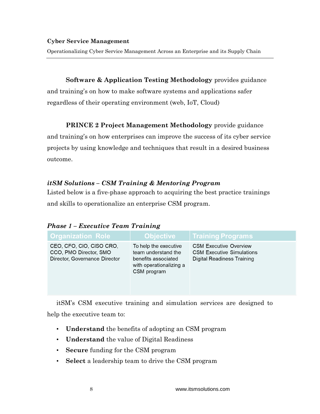Operationalizing Cyber Service Management Across an Enterprise and its Supply Chain

### **Software & Application Testing Methodology** provides guidance

and training's on how to make software systems and applications safer regardless of their operating environment (web, IoT, Cloud)

### **PRINCE 2 Project Management Methodology** provide guidance

and training's on how enterprises can improve the success of its cyber service projects by using knowledge and techniques that result in a desired business outcome.

### *itSM Solutions – CSM Training & Mentoring Program*

Listed below is a five-phase approach to acquiring the best practice trainings and skills to operationalize an enterprise CSM program.

| <b>Phase 1 - Executive Team Training</b> |  |  |
|------------------------------------------|--|--|
|------------------------------------------|--|--|

| <b>Organization Role</b>                                                            | ∣Objective <sup>∣</sup>                                                                                       | <b>Training Programs</b>                                                                               |
|-------------------------------------------------------------------------------------|---------------------------------------------------------------------------------------------------------------|--------------------------------------------------------------------------------------------------------|
| CEO, CFO, CIO, CISO CRO,<br>CCO, PMO Director, SMO<br>Director, Governance Director | To help the executive<br>team understand the<br>benefits associated<br>with operationalizing a<br>CSM program | <b>CSM Executive Overview</b><br><b>CSM Executive Simulations</b><br><b>Digital Readiness Training</b> |

itSM's CSM executive training and simulation services are designed to help the executive team to:

- **Understand** the benefits of adopting an CSM program
- **Understand** the value of Digital Readiness
- **Secure** funding for the CSM program
- **Select** a leadership team to drive the CSM program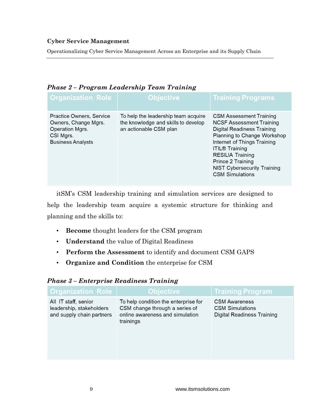Operationalizing Cyber Service Management Across an Enterprise and its Supply Chain

| <b>Organization Role</b>                                                                                     | Objecti <u>ve</u>                                                                                    | <b>Training Programs</b>                                                                                                                                                                                                                                                                               |
|--------------------------------------------------------------------------------------------------------------|------------------------------------------------------------------------------------------------------|--------------------------------------------------------------------------------------------------------------------------------------------------------------------------------------------------------------------------------------------------------------------------------------------------------|
| Practice Owners, Service<br>Owners, Change Mgrs.<br>Operation Mgrs.<br>CSI Mgrs.<br><b>Business Analysts</b> | To help the leadership team acquire<br>the knowledge and skills to develop<br>an actionable CSM plan | <b>CSM Assessment Training</b><br><b>NCSF Assessment Training</b><br>Digital Readiness Training<br>Planning to Change Workshop<br>Internet of Things Training<br><b>ITIL® Training</b><br><b>RESILIA Training</b><br>Prince 2 Training<br><b>NIST Cybersecurity Training</b><br><b>CSM Simulations</b> |

### *Phase 2 – Program Leadership Team Training*

itSM's CSM leadership training and simulation services are designed to help the leadership team acquire a systemic structure for thinking and planning and the skills to:

- **Become** thought leaders for the CSM program
- **Understand** the value of Digital Readiness
- **Perform the Assessment** to identify and document CSM GAPS
- **Organize and Condition** the enterprise for CSM

| <b>Organization Role</b>                                                      | <u> Objective</u>                                                                                                      | <b>Training Program</b>                                                      |
|-------------------------------------------------------------------------------|------------------------------------------------------------------------------------------------------------------------|------------------------------------------------------------------------------|
| All IT staff, senior<br>leadership, stakeholders<br>and supply chain partners | To help condition the enterprise for<br>CSM change through a series of<br>online awareness and simulation<br>trainings | <b>CSM Awareness</b><br><b>CSM Simulations</b><br>Digital Readiness Training |

### *Phase 3 – Enterprise Readiness Training*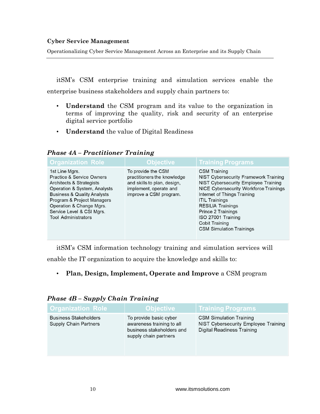Operationalizing Cyber Service Management Across an Enterprise and its Supply Chain

itSM's CSM enterprise training and simulation services enable the enterprise business stakeholders and supply chain partners to:

- **Understand** the CSM program and its value to the organization in terms of improving the quality, risk and security of an enterprise digital service portfolio
- **Understand** the value of Digital Readiness

**Objective Training Programs Organization Role** To provide the CSM 1st Line Mars. **CSM Training** Practice & Service Owners practitioners the knowledge **NIST Cybersecurity Framework Training Architects & Strategists** and skills to plan, design, NIST Cybersecurity Employee Training Operation & System, Analysts implement, operate and NICE Cybersecurity Workforce Trainings **Business & Quality Analysts** improve a CSM program. Internet of Things Training Program & Project Managers **ITIL Trainings** Operation & Change Mgrs. **RESILIA Trainings** Service Level & CSI Mgrs. Prince 2 Trainings **Tool Administrators** ISO 27001 Training Cobit Training **CSM Simulation Trainings** 

*Phase 4A – Practitioner Training*

itSM's CSM information technology training and simulation services will

enable the IT organization to acquire the knowledge and skills to:

• **Plan, Design, Implement, Operate and Improve** a CSM program

| <b>Organization Role</b>                                     | <b>Objective</b>                                                                                          | <b>Training Programs</b>                                                                                    |
|--------------------------------------------------------------|-----------------------------------------------------------------------------------------------------------|-------------------------------------------------------------------------------------------------------------|
| <b>Business Stakeholders</b><br><b>Supply Chain Partners</b> | To provide basic cyber<br>awareness training to all<br>business stakeholders and<br>supply chain partners | <b>CSM Simulation Training</b><br>NIST Cybersecurity Employee Training<br><b>Digital Readiness Training</b> |

*Phase 4B – Supply Chain Training*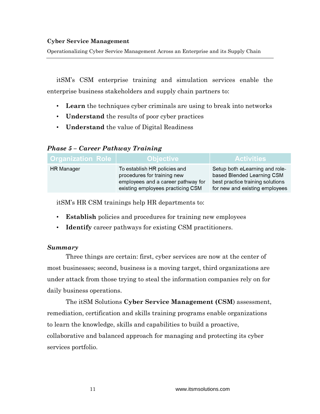Operationalizing Cyber Service Management Across an Enterprise and its Supply Chain

itSM's CSM enterprise training and simulation services enable the enterprise business stakeholders and supply chain partners to:

- **Learn** the techniques cyber criminals are using to break into networks
- **Understand** the results of poor cyber practices
- **Understand** the value of Digital Readiness

### *Phase 5 – Career Pathway Training*

| <b>Organization Role</b> | <b>Objective</b>                                                                                                                       | <b>Activities</b>                                                                                                                  |
|--------------------------|----------------------------------------------------------------------------------------------------------------------------------------|------------------------------------------------------------------------------------------------------------------------------------|
| <b>HR</b> Manager        | To establish HR policies and<br>procedures for training new<br>employees and a career pathway for<br>existing employees practicing CSM | Setup both eLearning and role-<br>based Blended Learning CSM<br>best practice training solutions<br>for new and existing employees |

itSM's HR CSM trainings help HR departments to:

- **Establish** policies and procedures for training new employees
- **Identify** career pathways for existing CSM practitioners.

### *Summary*

Three things are certain: first, cyber services are now at the center of most businesses; second, business is a moving target, third organizations are under attack from those trying to steal the information companies rely on for daily business operations.

The itSM Solutions **Cyber Service Management (CSM**) assessment, remediation, certification and skills training programs enable organizations to learn the knowledge, skills and capabilities to build a proactive, collaborative and balanced approach for managing and protecting its cyber services portfolio.